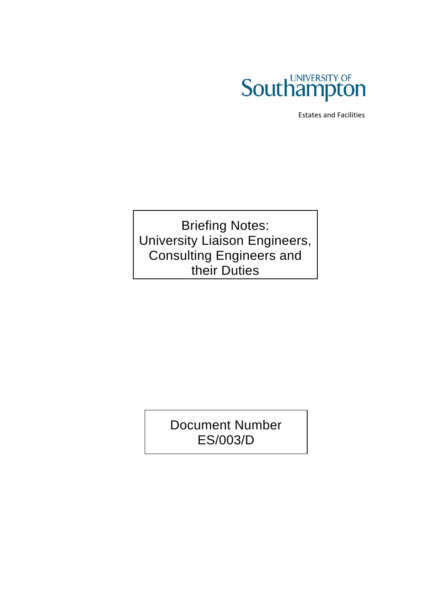

Estates and Facilities

Briefing Notes: University Liaison Engineers, Consulting Engineers and their Duties

> Document Number ES/003/D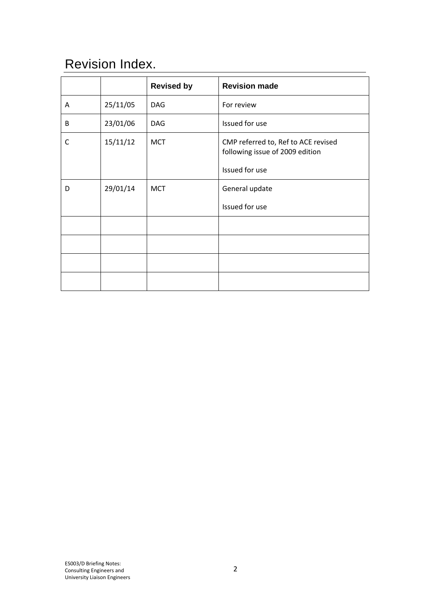# Revision Index.

|   |          | <b>Revised by</b> | <b>Revision made</b>                                                                     |
|---|----------|-------------------|------------------------------------------------------------------------------------------|
| A | 25/11/05 | <b>DAG</b>        | For review                                                                               |
| B | 23/01/06 | <b>DAG</b>        | Issued for use                                                                           |
| C | 15/11/12 | <b>MCT</b>        | CMP referred to, Ref to ACE revised<br>following issue of 2009 edition<br>Issued for use |
| D | 29/01/14 | <b>MCT</b>        | General update<br>Issued for use                                                         |
|   |          |                   |                                                                                          |
|   |          |                   |                                                                                          |
|   |          |                   |                                                                                          |
|   |          |                   |                                                                                          |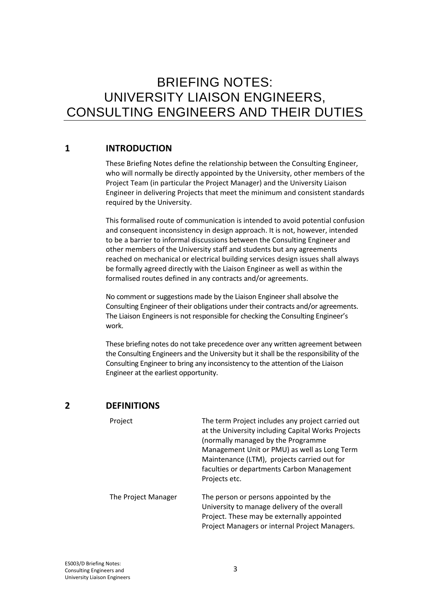# BRIEFING NOTES: UNIVERSITY LIAISON ENGINEERS, CONSULTING ENGINEERS AND THEIR DUTIES

# **1 INTRODUCTION**

These Briefing Notes define the relationship between the Consulting Engineer, who will normally be directly appointed by the University, other members of the Project Team (in particular the Project Manager) and the University Liaison Engineer in delivering Projects that meet the minimum and consistent standards required by the University.

This formalised route of communication is intended to avoid potential confusion and consequent inconsistency in design approach. It is not, however, intended to be a barrier to informal discussions between the Consulting Engineer and other members of the University staff and students but any agreements reached on mechanical or electrical building services design issues shall always be formally agreed directly with the Liaison Engineer as well as within the formalised routes defined in any contracts and/or agreements.

No comment or suggestions made by the Liaison Engineer shall absolve the Consulting Engineer of their obligations under their contracts and/or agreements. The Liaison Engineers is not responsible for checking the Consulting Engineer's work.

These briefing notes do not take precedence over any written agreement between the Consulting Engineers and the University but it shall be the responsibility of the Consulting Engineer to bring any inconsistency to the attention of the Liaison Engineer at the earliest opportunity.

#### **2 DEFINITIONS**

| Project             | The term Project includes any project carried out<br>at the University including Capital Works Projects<br>(normally managed by the Programme<br>Management Unit or PMU) as well as Long Term<br>Maintenance (LTM), projects carried out for<br>faculties or departments Carbon Management<br>Projects etc. |
|---------------------|-------------------------------------------------------------------------------------------------------------------------------------------------------------------------------------------------------------------------------------------------------------------------------------------------------------|
| The Project Manager | The person or persons appointed by the<br>University to manage delivery of the overall<br>Project. These may be externally appointed<br>Project Managers or internal Project Managers.                                                                                                                      |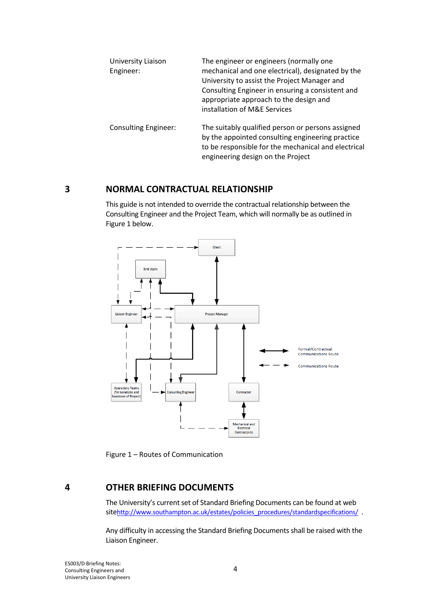| University Liaison<br>Engineer: | The engineer or engineers (normally one<br>mechanical and one electrical), designated by the<br>University to assist the Project Manager and<br>Consulting Engineer in ensuring a consistent and<br>appropriate approach to the design and<br>installation of M&E Services |
|---------------------------------|----------------------------------------------------------------------------------------------------------------------------------------------------------------------------------------------------------------------------------------------------------------------------|
| <b>Consulting Engineer:</b>     | The suitably qualified person or persons assigned<br>by the appointed consulting engineering practice<br>to be responsible for the mechanical and electrical<br>engineering design on the Project                                                                          |

#### **3 NORMAL CONTRACTUAL RELATIONSHIP**

This guide is not intended to override the contractual relationship between the Consulting Engineer and the Project Team, which will normally be as outlined in Figure 1 below.



Figure 1 – Routes of Communication

#### **4 OTHER BRIEFING DOCUMENTS**

The University's current set of Standard Briefing Documents can be found at web sitehttp://www.southampton.ac.uk/estates/policies\_procedures/standardspecifications/ .

Any difficulty in accessing the Standard Briefing Documents shall be raised with the Liaison Engineer.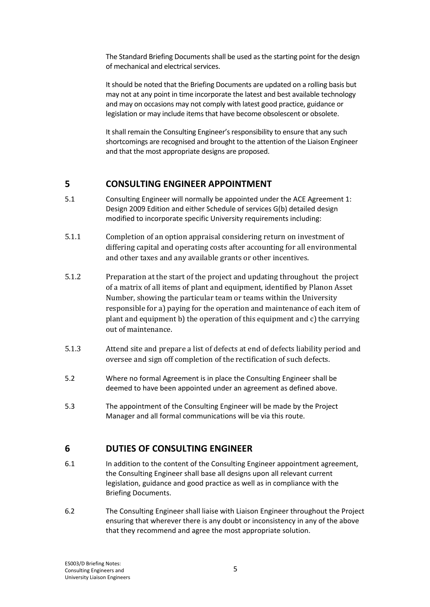The Standard Briefing Documents shall be used as the starting point for the design of mechanical and electrical services.

It should be noted that the Briefing Documents are updated on a rolling basis but may not at any point in time incorporate the latest and best available technology and may on occasions may not comply with latest good practice, guidance or legislation or may include items that have become obsolescent or obsolete.

It shall remain the Consulting Engineer's responsibility to ensure that any such shortcomings are recognised and brought to the attention of the Liaison Engineer and that the most appropriate designs are proposed.

## **5 CONSULTING ENGINEER APPOINTMENT**

- 5.1 Consulting Engineer will normally be appointed under the ACE Agreement 1: Design 2009 Edition and either Schedule of services G(b) detailed design modified to incorporate specific University requirements including:
- 5.1.1 Completion of an option appraisal considering return on investment of differing capital and operating costs after accounting for all environmental and other taxes and any available grants or other incentives.
- 5.1.2 Preparation at the start of the project and updating throughout the project of a matrix of all items of plant and equipment, identified by Planon Asset Number, showing the particular team or teams within the University responsible for a) paying for the operation and maintenance of each item of plant and equipment b) the operation of this equipment and c) the carrying out of maintenance.
- 5.1.3 Attend site and prepare a list of defects at end of defects liability period and oversee and sign off completion of the rectification of such defects.
- 5.2 Where no formal Agreement is in place the Consulting Engineer shall be deemed to have been appointed under an agreement as defined above.
- 5.3 The appointment of the Consulting Engineer will be made by the Project Manager and all formal communications will be via this route.

# **6 DUTIES OF CONSULTING ENGINEER**

- 6.1 In addition to the content of the Consulting Engineer appointment agreement, the Consulting Engineer shall base all designs upon all relevant current legislation, guidance and good practice as well as in compliance with the Briefing Documents.
- 6.2 The Consulting Engineer shall liaise with Liaison Engineer throughout the Project ensuring that wherever there is any doubt or inconsistency in any of the above that they recommend and agree the most appropriate solution.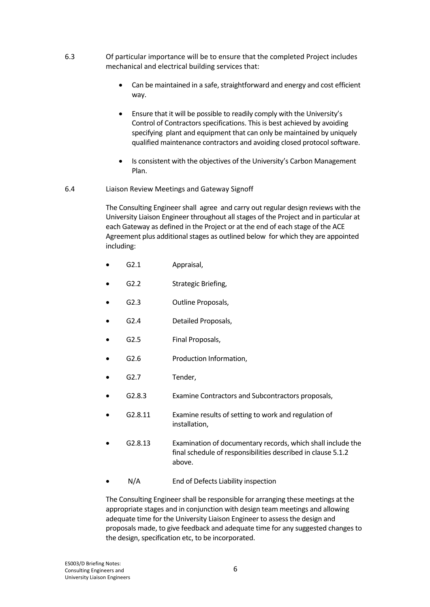- 6.3 Of particular importance will be to ensure that the completed Project includes mechanical and electrical building services that:
	- $\bullet$  Can be maintained in a safe, straightforward and energy and cost efficient way.
	- Ensure that it will be possible to readily comply with the University's Control of Contractors specifications. This is best achieved by avoiding specifying plant and equipment that can only be maintained by uniquely qualified maintenance contractors and avoiding closed protocol software.
	- Is consistent with the objectives of the University's Carbon Management Plan.
- 6.4 Liaison Review Meetings and Gateway Signoff

The Consulting Engineer shall agree and carry out regular design reviews with the University Liaison Engineer throughout allstages of the Project and in particular at each Gateway as defined in the Project or at the end of each stage of the ACE Agreement plus additional stages as outlined below for which they are appointed including:

- G2.1 Appraisal,
- G2.2 Strategic Briefing,
- G2.3 Outline Proposals,
- G2.4 Detailed Proposals,
- G2.5 Final Proposals,
- G2.6 Production Information,
- G2.7 Tender,
- G2.8.3 Examine Contractors and Subcontractors proposals,
- G2.8.11 Examine results of setting to work and regulation of installation,
- G2.8.13 Examination of documentary records, which shall include the final schedule of responsibilities described in clause 5.1.2 above.
- N/A End of Defects Liability inspection

The Consulting Engineer shall be responsible for arranging these meetings at the appropriate stages and in conjunction with design team meetings and allowing adequate time for the University Liaison Engineer to assess the design and proposals made, to give feedback and adequate time for any suggested changesto the design, specification etc, to be incorporated.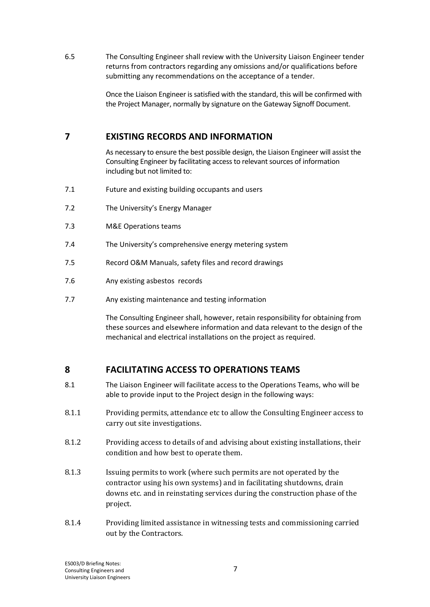6.5 The Consulting Engineer shall review with the University Liaison Engineer tender returns from contractors regarding any omissions and/or qualifications before submitting any recommendations on the acceptance of a tender.

> Once the Liaison Engineer issatisfied with the standard, this will be confirmed with the Project Manager, normally by signature on the Gateway Signoff Document.

## **7 EXISTING RECORDS AND INFORMATION**

As necessary to ensure the best possible design, the Liaison Engineer will assist the Consulting Engineer by facilitating access to relevant sources of information including but not limited to:

- 7.1 Future and existing building occupants and users
- 7.2 The University's Energy Manager
- 7.3 M&E Operations teams
- 7.4 The University's comprehensive energy metering system
- 7.5 Record O&M Manuals, safety files and record drawings
- 7.6 Any existing asbestos records
- 7.7 Any existing maintenance and testing information

The Consulting Engineer shall, however, retain responsibility for obtaining from these sources and elsewhere information and data relevant to the design of the mechanical and electrical installations on the project as required.

#### **8 FACILITATING ACCESS TO OPERATIONS TEAMS**

- 8.1 The Liaison Engineer will facilitate access to the Operations Teams, who will be able to provide input to the Project design in the following ways:
- 8.1.1 Providing permits, attendance etc to allow the Consulting Engineer access to carry out site investigations.
- 8.1.2 Providing access to details of and advising about existing installations, their condition and how best to operate them.
- 8.1.3 Issuing permits to work (where such permits are not operated by the contractor using his own systems) and in facilitating shutdowns, drain downs etc. and in reinstating services during the construction phase of the project.
- 8.1.4 Providing limited assistance in witnessing tests and commissioning carried out by the Contractors.